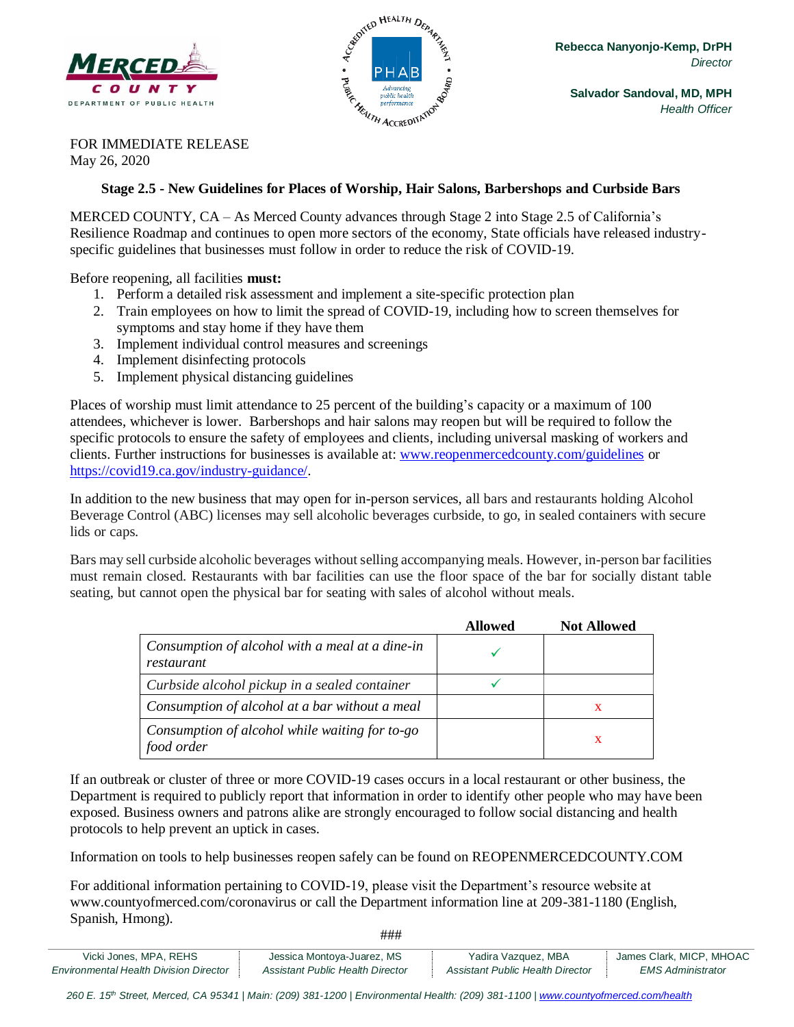



FOR IMMEDIATE RELEASE May 26, 2020

## **Stage 2.5 - New Guidelines for Places of Worship, Hair Salons, Barbershops and Curbside Bars**

MERCED COUNTY, CA – As Merced County advances through Stage 2 into Stage 2.5 of California's Resilience Roadmap and continues to open more sectors of the economy, State officials have released industryspecific guidelines that businesses must follow in order to reduce the risk of COVID-19.

Before reopening, all facilities **must:**

- 1. Perform a detailed risk assessment and implement a site-specific protection plan
- 2. Train employees on how to limit the spread of COVID-19, including how to [screen themselves for](https://www.cdc.gov/coronavirus/2019-ncov/symptoms-testing/symptoms.html?CDC_AA_refVal=https%3A%2F%2Fwww.cdc.gov%2Fcoronavirus%2F2019-ncov%2Fsymptoms-testing%2Findex.html)  [symptoms](https://www.cdc.gov/coronavirus/2019-ncov/symptoms-testing/symptoms.html?CDC_AA_refVal=https%3A%2F%2Fwww.cdc.gov%2Fcoronavirus%2F2019-ncov%2Fsymptoms-testing%2Findex.html) and stay home if they have them
- 3. Implement individual control measures and screenings
- 4. Implement disinfecting protocols
- 5. Implement physical distancing guidelines

Places of worship must limit attendance to 25 percent of the building's capacity or a maximum of 100 attendees, whichever is lower. Barbershops and hair salons may reopen but will be required to follow the specific protocols to ensure the safety of employees and clients, including universal masking of workers and clients. Further instructions for businesses is available at: [www.reopenmercedcounty.com/guidelines](http://www.reopenmercedcounty.com/guidelines) or [https://covid19.ca.gov/industry-guidance/.](https://covid19.ca.gov/industry-guidance/)

In addition to the new business that may open for in-person services, all bars and restaurants holding Alcohol Beverage Control (ABC) licenses may sell alcoholic beverages curbside, to go, in sealed containers with secure lids or caps.

Bars may sell curbside alcoholic beverages without selling accompanying meals. However, in-person bar facilities must remain closed. Restaurants with bar facilities can use the floor space of the bar for socially distant table seating, but cannot open the physical bar for seating with sales of alcohol without meals.

|                                                               | <b>Allowed</b> | <b>Not Allowed</b> |
|---------------------------------------------------------------|----------------|--------------------|
| Consumption of alcohol with a meal at a dine-in<br>restaurant |                |                    |
| Curbside alcohol pickup in a sealed container                 |                |                    |
| Consumption of alcohol at a bar without a meal                |                | х                  |
| Consumption of alcohol while waiting for to-go<br>food order  |                | х                  |

If an outbreak or cluster of three or more COVID-19 cases occurs in a local restaurant or other business, the Department is required to publicly report that information in order to identify other people who may have been exposed. Business owners and patrons alike are strongly encouraged to follow social distancing and health protocols to help prevent an uptick in cases.

Information on tools to help businesses reopen safely can be found on REOPENMERCEDCOUNTY.COM

For additional information pertaining to COVID-19, please visit the Department's resource website at www.countyofmerced.com/coronavirus or call the Department information line at 209-381-1180 (English, Spanish, Hmong).

Vicki Jones, MPA, REHS **Jessica Montoya-Juarez, MS** Yadira Vazquez, MBA James Clark, MICP, MHOAC *Environmental Health Division Director Assistant Public Health Director Assistant Public Health Director EMS Administrator*

###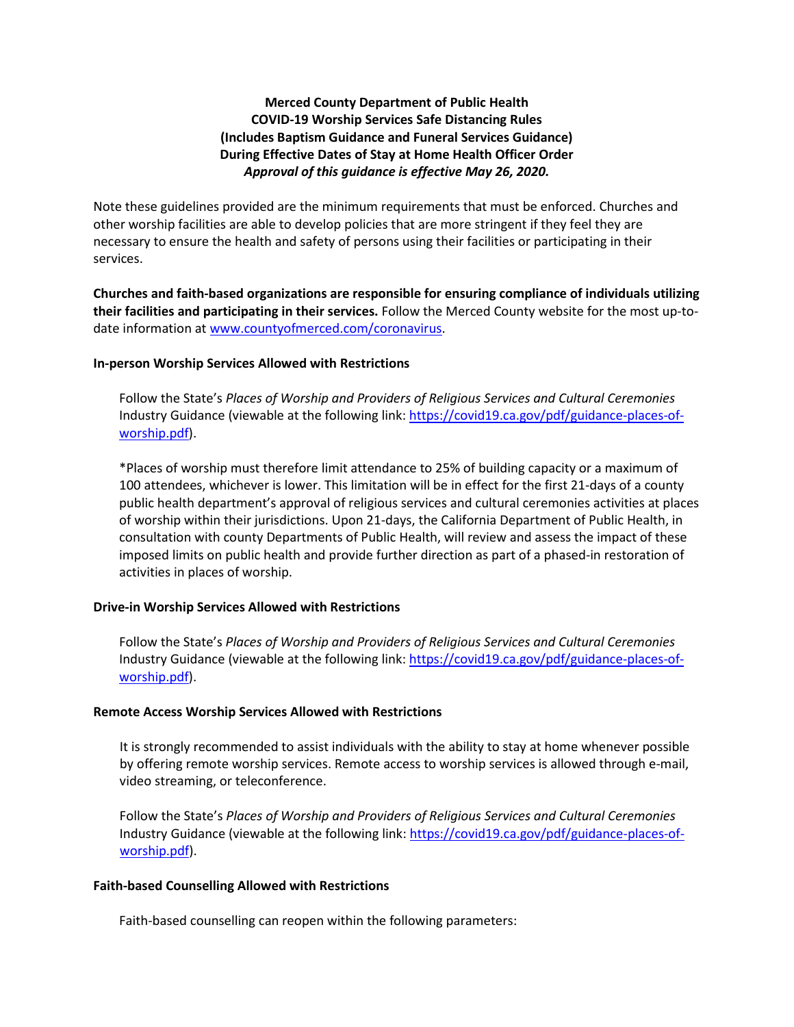# **Merced County Department of Public Health COVID-19 Worship Services Safe Distancing Rules (Includes Baptism Guidance and Funeral Services Guidance) During Effective Dates of Stay at Home Health Officer Order** *Approval of this guidance is effective May 26, 2020.*

Note these guidelines provided are the minimum requirements that must be enforced. Churches and other worship facilities are able to develop policies that are more stringent if they feel they are necessary to ensure the health and safety of persons using their facilities or participating in their services.

**Churches and faith-based organizations are responsible for ensuring compliance of individuals utilizing their facilities and participating in their services.** Follow the Merced County website for the most up-todate information at [www.countyofmerced.com/coronavirus.](http://www.countyofmerced.com/coronavirus)

## **In-person Worship Services Allowed with Restrictions**

Follow the State's *Places of Worship and Providers of Religious Services and Cultural Ceremonies* Industry Guidance (viewable at the following link[: https://covid19.ca.gov/pdf/guidance-places-of](https://covid19.ca.gov/pdf/guidance-places-of-worship.pdf)[worship.pdf\)](https://covid19.ca.gov/pdf/guidance-places-of-worship.pdf).

\*Places of worship must therefore limit attendance to 25% of building capacity or a maximum of 100 attendees, whichever is lower. This limitation will be in effect for the first 21-days of a county public health department's approval of religious services and cultural ceremonies activities at places of worship within their jurisdictions. Upon 21-days, the California Department of Public Health, in consultation with county Departments of Public Health, will review and assess the impact of these imposed limits on public health and provide further direction as part of a phased-in restoration of activities in places of worship.

## **Drive-in Worship Services Allowed with Restrictions**

Follow the State's *Places of Worship and Providers of Religious Services and Cultural Ceremonies* Industry Guidance (viewable at the following link[: https://covid19.ca.gov/pdf/guidance-places-of](https://covid19.ca.gov/pdf/guidance-places-of-worship.pdf)[worship.pdf\)](https://covid19.ca.gov/pdf/guidance-places-of-worship.pdf).

#### **Remote Access Worship Services Allowed with Restrictions**

It is strongly recommended to assist individuals with the ability to stay at home whenever possible by offering remote worship services. Remote access to worship services is allowed through e-mail, video streaming, or teleconference.

Follow the State's *Places of Worship and Providers of Religious Services and Cultural Ceremonies* Industry Guidance (viewable at the following link: [https://covid19.ca.gov/pdf/guidance-places-of](https://covid19.ca.gov/pdf/guidance-places-of-worship.pdf)[worship.pdf\)](https://covid19.ca.gov/pdf/guidance-places-of-worship.pdf).

#### **Faith-based Counselling Allowed with Restrictions**

Faith-based counselling can reopen within the following parameters: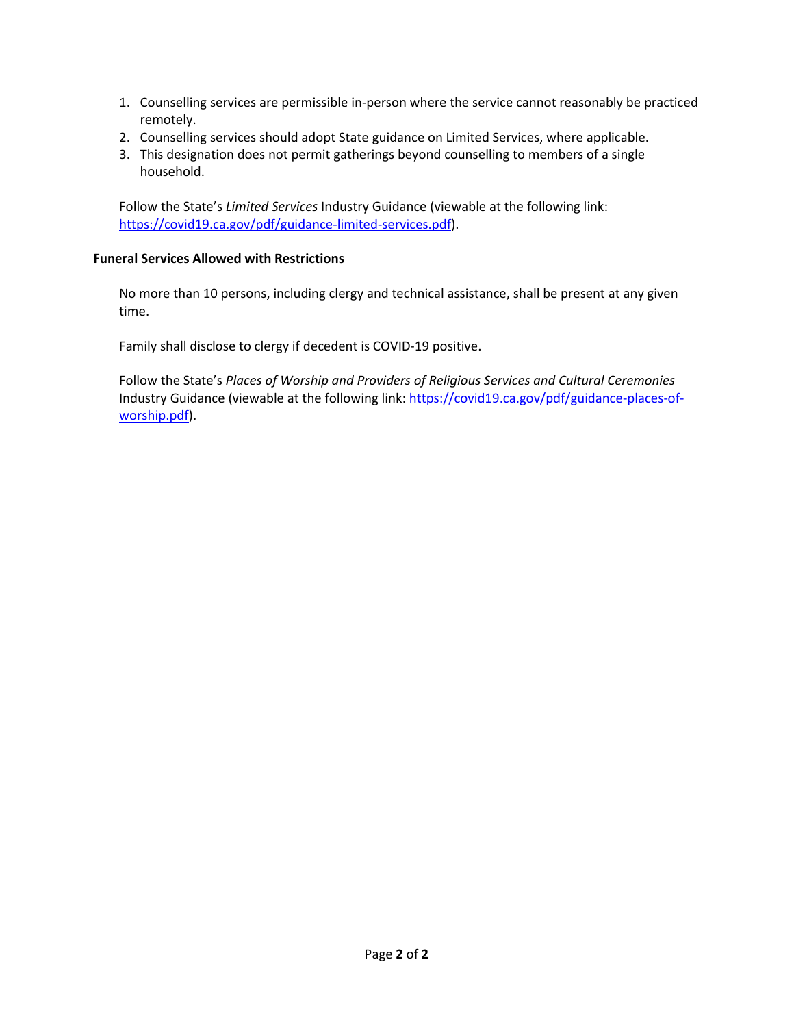- 1. Counselling services are permissible in-person where the service cannot reasonably be practiced remotely.
- 2. Counselling services should adopt State guidance on Limited Services, where applicable.
- 3. This designation does not permit gatherings beyond counselling to members of a single household.

Follow the State's *Limited Services* Industry Guidance (viewable at the following link: [https://covid19.ca.gov/pdf/guidance-limited-services.pdf\)](https://covid19.ca.gov/pdf/guidance-limited-services.pdf).

# **Funeral Services Allowed with Restrictions**

No more than 10 persons, including clergy and technical assistance, shall be present at any given time.

Family shall disclose to clergy if decedent is COVID-19 positive.

Follow the State's *Places of Worship and Providers of Religious Services and Cultural Ceremonies* Industry Guidance (viewable at the following link[: https://covid19.ca.gov/pdf/guidance-places-of](https://covid19.ca.gov/pdf/guidance-places-of-worship.pdf)[worship.pdf\)](https://covid19.ca.gov/pdf/guidance-places-of-worship.pdf).